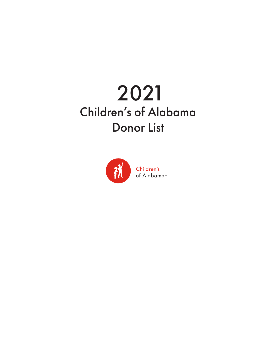# 2021 Children's of Alabama Donor List

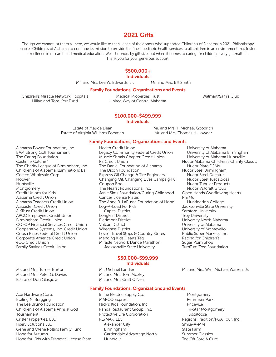## 2021 Gifts

Though we cannot list them all here, we would like to thank each of the donors who supported Children's of Alabama in 2021. Philanthropy enables Children's of Alabama to continue its mission to provide the finest pediatric health services to all children in an environment that fosters excellence in research and medical education. We list donors by gift size, but when it comes to caring for children, every gift matters. Thank you for your generous support.

## \$500,000+

## Individuals

Mr. and Mrs. Lee W. Edwards, Jr. Mr. and Mrs. Bill Smith

Family Foundations, Organizations and Events

Children's Miracle Network Hospitals Lillian and Tom Kerr Fund

Medical Properties Trust United Way of Central Alabama Walmart/Sam's Club

## \$100,000-\$499,999

Individuals

Estate of Maude Dean Estate of Virginia Williams Forsman Mr. and Mrs. T. Michael Goodrich Mr. and Mrs. Thomas H. Lowder

#### Family Foundations, Organizations and Events

Alabama Power Foundation, Inc. BAM Strong Golf Tournament The Caring Foundation Castin' & Catchin' The Charity League of Birmingham, Inc. Children's of Alabama Illuminations Ball Costco Wholesale Corp. Hoover Huntsville Montgomery Credit Unions for Kids Alabama Credit Union Alabama Teachers Credit Union Alabaster Credit Union AlaTrust Credit Union APCO Employees Credit Union Birmingham Credit Union CO-OP Financial Services Credit Union Cooperative Systems, Inc. Credit Union Coosa Pines Federal Credit Union Corporate America Credit Union eCO Credit Union Family Savings Credit Union

Mr. and Mrs. Turner Burton Mr. and Mrs. Peter G. Davies Estate of Don Glasgow

Ace Hardware Corp. Boiling N' Bragging The Lee Bruno Foundation Children's of Alabama Annual Golf **Tournament** Crisler Properties, LLC Fiserv Solutions LLC Gene and Olene Rollins Family Fund Hope for Autumn Hope for Kids with Diabetes License Plate

Health Credit Union Legacy Community Federal Credit Union Muscle Shoals Chapter Credit Union PS Credit Union The Daniel Foundation of Alabama The Dixon Foundation Express Oil Change & Tire Engineers-- Changing Oil, Changing Lives Campaign & Coupon Book The Hearst Foundations, Inc. Janie Sims Foundation/Curing Childhood Cancer License Plates The Anne B. LaRussa Foundation of Hope Log-A-Load For Kids Capital District Longleaf District Piedmont District Vulcan District Wiregrass District Love's Travel Stops & Country Stores Mending Kids Hearts Tag Miracle Network Dance Marathon Jacksonville State University

## \$50,000-\$99,999 Individuals

Mr. Michael Landier Mr. and Mrs. Tom Moxley Mr. and Mrs. Craft O'Neal

## Family Foundations, Organizations and Events

Inline Electric Supply Co. MAPCO Express Nick's Kids Foundation, Inc. Panda Restaurant Group, Inc. Protective Life Corporation RE/MAX, LLC Alexander City Birmingham Gardendale Advantage North Huntsville

Montgomery Perimeter Park Priceville Tri-Star Montgomery Tuscaloosa Regions Tradition/PGA Tour, Inc. Smile-A-Mile State Farm Summer Classics Tee Off Fore A Cure

#### University of Alabama Birmingham University of Alabama Huntsville Nucor Alabama Children's Charity Classic Nucor Plate DSMs Nucor Steel Birmingham Nucor Steel Decatur Nucor Steel Tuscaloosa Nucor Tubular Products Nucor Vulcraft Group Open Hands Overflowing Hearts Phi Mu Huntingdon College Jacksonville State University Samford University Troy University University North Alabama University of Alabama University of Montevallo Publix Super Markets, Inc. Racing for Children's Sugar Plum Shop

University of Alabama

TumTum Tree Foundation

Mr. and Mrs. Wm. Michael Warren, Jr.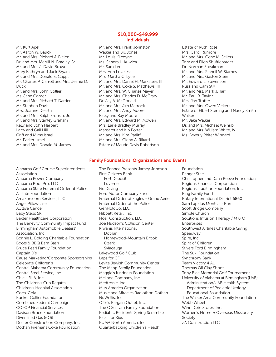Mr. Kurt Apel Mr. Aaron W. Bauck Mr. and Mrs. Richard J. Bielen Dr. and Mrs. Merrill N. Bradley, Sr. Mr. and Mrs. J. David Brown, III Mary Kathryn and Jack Bryant Mr. and Mrs. Donald E. Capps Mr. Charles P. Carroll and Mrs. Jeanie D. Duck Mr. and Mrs. John Collier Ms. Jane Comer Mr. and Mrs. Richard T. Darden Mr. Stephen Davis Mrs. Joanne Dearth Mr. and Mrs. Ralph Frohsin, Jr. Mr. and Mrs. Stanley Graham Kelly and John Harbert Larry and Gail Hill Griff and Mims Israel Mr. Parker Israel Mr. and Mrs. Donald M. James

Alabama Golf Course Superintendents Association Alabama Power Company Alabama Roof Pro, LLC Alabama State Fraternal Order of Police Allstate Foundation Amazon.com Services, LLC Angel Pillowcases AUtlive Cancer Baby Steps 5K Baxter Healthcare Corporation The Benevity Community Impact Fund Birmingham Automobile Dealers' Association, Inc. Bonnie L. Bolding Charitable Foundation Boots & BBQ Barn Bash Bruce Pearl Family Foundation Captain D's Cause Marketing/Corporate Sponsorships Celebrate Children's Central Alabama Community Foundation Central Steel Service, Inc. Chick-fil-A, Inc. The Children's Cup Regatta Children's Hospital Association Coca-Cola Rucker Collier Foundation Combined Federal Campaign CO-OP Financial Services Davison Bruce Foundation Diversified Gas & Oil Doster Construction Company, Inc. Dothan Firemans Coke Foundation

## \$10,000-\$49,999 Individuals

- Mr. and Mrs. Frank Johnston Walker and Bill Jones Mr. Louis Kilcoyne Ms. Sandra L. Kuwica Mr. Sam Lee Mrs. Ann Loveless Mrs. Martha C. Lytle Mr. and Mrs. Daniel H. Markstein, III Mr. and Mrs. Coke S. Matthews, III Mr. and Mrs. W. Charles Mayer, III Mr. and Mrs. Charles D. McCrary Dr. Jay A. McDonald Mr. and Mrs. Jim Metrock Mr. and Mrs. Andy Moore Patsy and Ray Moore Mr. and Mrs. Edward M. Mowen Mrs. Earle Bradley Murray Margaret and Kip Porter Mr. and Mrs. Kim Ratliff Mr. and Mrs. Glenn A. Rikard Estate of Maude Davis Robertson
- Estate of Ruth Rose Mrs. Carol Rumore Mr. and Mrs. Gene M. Sellers Tom and Ellen Shufflebarger Dr. Norman Speakman Mr. and Mrs. Stancil W. Starnes Mr. and Mrs. Gaston Stein Mr. Edward L. Stevenson Russ and Cam Still Mr. and Mrs. Mark J. Tarr Mr. Paul B. Taylor Mrs. Jan Trotter Mr. and Mrs. Owen Vickers Estate of Elbert Sterling and Nancy Smith Walker Mr. Jake Walker Dr. and Mrs. Michael Weinrib Mr. and Mrs. William White, IV Ms. Beverly Phifer Wingard

#### Family Foundations, Organizations and Events

The Fennec Presents Jamey Johnson First Citizens Bank Fort Deposit Luverne FirstGiving Ford Motor Company Fund Fraternal Order of Eagles - Grand Aerie Fraternal Order of the Police GenHoldCo, LLC Hibbett Retail, Inc. Hoar Construction, LLC Joe Hudson's Collision Center Kiwanis International Dothan Homewood-Mountain Brook Ozark Sylacauga Lakewood Golf Club Laps for CF Levite Jewish Community Center The Mapp Family Foundation Maggie's Kindness Foundation McLane Company, Inc. Medtronic, Inc. Miss America Organization Music and Miracles Radiothon Dothan NuWellis, Inc. Ollie's Bargain Outlet, Inc. The O'Sullivan Family Foundation Pediatric Residents Spring Scramble Picks for Kids PUMA North America, Inc. Quarterbacking Children's Health

Foundation Ranger Steel Christopher and Dana Reeve Foundation Regions Financial Corporation Regions Tradition Foundation, Inc. Ring Family Fund Rotary International District 6860 Sam Lapidus Montclair Run Scott Bridge Company Simple Church Solutions Infusion Therapy / M & O Enterprises Southwest Airlines Charitable Giving Speedway Spire, Inc. Spirit of Children Stivers Ford Birmingham The Suki Foundation Synchrony Bank Team Victory 4 All Thomas Oil Clay Shoot Tony Bice Memorial Golf Tournament University of Alabama at Birmingham (UAB) Administration/UAB Health System Department of Pediatric Urology Educational Foundation The Walker Area Community Foundation Webb Wheel Winn Dixie Stores, Inc. Women's Home & Overseas Missionary Society ZA Construction LLC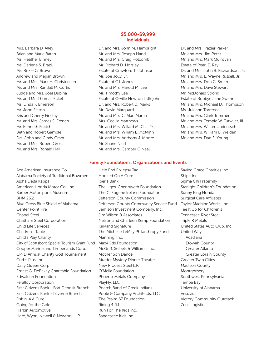Mrs. Barbara D. Alley Brian and Marie Bateh Ms. Heather Binney Ms. Darlene S. Brazil Ms. Roxie G. Brown Andrew and Megan Brown Mr. and Mrs. Mark H. Christensen Mr. and Mrs. Randall M. Curtis Judge and Mrs. Joel Dubina Mr. and Mr. Thomas Eckel Ms. Linda F. Emerson Mr. John Felton Kris and Cherry Findlay Mr. and Mrs. James S. French Mr. Kenneth Fucich Beth and Robert Gamble Drs. John and Cindy Grant Mr. and Mrs. Robert Gross Mr. and Mrs. Ronald Hall

Ace American Insurance Co. Alabama Society of Traditional Bowmen Alpha Delta Kappa American Honda Motor Co., Inc. Barber Motorsports Museum BHM 26.2 Blue Cross Blue Shield of Alabama Center Point Fire Chapel Steel Chatham Steel Corporation Child Life Services Children's Table Child's Play Charity City of Scottsboro Special Tourism Grant Fund Cooper Marine and Timberlands Corp. CPFD Annual Charity Golf Tournament Curbs Plus, Inc. Dairy Queen Corp. Ernest G. DeBakey Charitable Foundation Edwaldan Foundation Feralloy Corporation First Citizens Bank - Fort Deposit Branch First Citizens Bank - Luverne Branch Fishin' 4 A Cure Going for the Gold Harbin Automotive Hare, Wynn, Newell & Newton, LLP

## \$5,000-\$9,999 Individuals

Dr. and Mrs. John M. Hambright Mr. and Mrs. Joseph Hand Mr. and Mrs. Craig Holcomb Mr. Richard D. Horsley Estate of Crawford T. Johnson Mr. Joe Jolly, Jr. Estate of C.I. Jones Mr. and Mrs. Harold M. Lee Mr. Timothy Lee Estate of Orville Newton Littlejohn Dr. and Mrs. Robert D. Marks Mr. David Marquard Mr. and Mrs. C. Alan Martin Mrs. Cecilia Matthews Mr. and Mrs. Willard McCall, Jr. Mr. and Mrs. Wiliam E. McMinn Mr. and Mrs. Anthony J. Moore Mr. Shane Naish Mr. and Mrs. Camper O'Neal

Dr. and Mrs. Frazier Parker Mr. and Mrs. Jim Pettit Mr. and Mrs. Mark Quinlivan Estate of Pearl E. Ray Dr. and Mrs. John B. Richardson, Jr. Mr. and Mrs. E. Wayne Russell, Jr. Mr. and Mrs. Don C. Smith Mr. and Mrs. Dave Stewart Mr. McDonald Strong Estate of Robbye Jane Swann Mr. and Mrs. Michael D. Thompson Ms. Juleann Torrence Mr. and Mrs. Clark Trimmer Mr. and Mrs. Temple W. Tutwiler, III Mr. and Mrs. Walter Undeutsch Mr. and Mrs. William B. Welden Mr. and Mrs. Dan E. Young

## Family Foundations, Organizations and Events

Help End Epilepsy Tag Hooked On A Cure Iberia Bank The Illges-Chenoweth Foundation The C. Eugene Ireland Foundation Jefferson County Commission Jefferson County Community Service Fund Jemison Investment Company, Inc. Jim Wilson & Associates Nelson and Charleen Kemp Foundation Kirkland Signature The Michelle LeMay Philanthropy Fund Manning, Inc. Max4Kids Foundation McGriff, Seibels & Williams, Inc. Mother Son Dance Murder Mystery Dinner Theater New Process Steel L.P. O'Melia Foundation Phoenix Metals Company PlayFly, LLC Poarch Band of Creek Indians Poole & Company Architects, LLC The Psalm 67 Foundation Riding 4 RJ Run For The Kids Inc. Sandcastle Kids Inc.

Saving Grace Charities Inc. Shipt, Inc. Sigma Chi Fraternity Starlight Children's Foundation Sunny King Honda Surgical Care Affiliates Taylor Machine Works, Inc. Tee It Up for Children's Tennessee River Steel Triple R Metals United States Auto Club, Inc. United Way Acadiana Etowah County Greater Atlanta Greater Lorain County Greater Twin Cities Madison County Montgomery Southwest Pennsylvania Tampa Bay University of Alabama Vesuvius Victory Community Outreach Zeus Logistic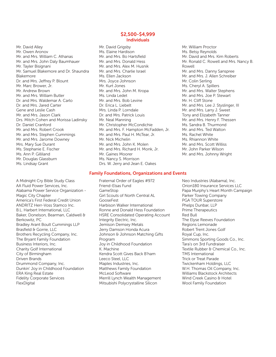Mr. David Alley Mr. Owen Aronov Mr. and Mrs. William C. Athanas Mr. and Mrs. John Daly Baumhauer Mr. Tayler Bisignani Mr. Samuel Blakemore and Dr. Shaundra Blakemore Dr. and Mrs. Jeffrey P. Blount Mr. Marc Brower, Jr. Mr. Andrew Brown Mr. and Mrs. William Butler Dr. and Mrs. Waldemar A. Carlo Dr. and Mrs. Jared Carter Gene and Leslie Cash Mr. and Mrs. Jason Clark Drs. Mitch Cohen and Morissa Ladinsky Dr. Daniel Cranford Mr. and Mrs. Robert Crook Mr. and Mrs. Stephen Cummings Mr. and Mrs. Jarome Downey Mrs. Mary Sue Durant Ms. Stephanie E. Fischer Ms. Ann P. Gilliland Mr. Douglas Glassburn Ms. Lindsay Grant

## A Midnight Cry Bible Study Class AA Fluid Power Services, Inc. Alabama Power Service Organization - Magic City Chapter America's First Federal Credit Union ANDRITZ Herr-Voss Stamco Inc. B.L. Harbert International, LLC Baker, Donelson, Bearman, Caldwell & Berkowitz, PC Bradley Arant Boult Cummings LLP Brasfield & Gorrie, LLC Brothers Recycling Company, Inc. The Bryant Family Foundation Business Interiors, Inc. Charity Golf International City of Birmingham Driven Brands Drummond Company, Inc. Dunkin' Joy in Childhood Foundation ERA King Real Estate Fidelity Corporate Services FlexDigital

## \$2,500-\$4,999 Individuals

Mr. David Grigsby Ms. Elaine Hardison Mr. and Mrs. Bo Hartsfield Mr. and Mrs. Donald Hess Mr. and Mrs. Alex M. Husnik Mr. and Mrs. Charlie Israel Ms. Ellen Jackson Mrs. Joyce Johnson Mr. Kurt Jones Mr. and Mrs. John M. Kropa Ms. Linda Ledet Mr. and Mrs. Bob Levine Dr. Frica L. Liebelt Mrs. Linda P. Lorndale Dr. and Mrs. Patrick Louis Mr. Neal Manning Mr. Christopher McCondichie Mr. and Mrs. F. Hampton McFadden, Jr. Mr. and Mrs. Paul H. McTear, Jr. Mr. Nick Michelin Mr. and Mrs. John K. Molen Mr. and Mrs. Richard H. Monk, Jr. Mr. Gaines Moorer Ms. Nancy S. Morrison Drs. W. Jerry and Jean E. Oakes

## Mr. William Proctor Ms. Betsy Reynolds Mr. David and Mrs. Kim Roberts Mr. Ronald C. Rowell and Mrs. Nancy B. Rowell Mr. and Mrs. Danny Sanspree Mr. and Mrs. J. Allen Schreiber Mr. Colin Serling Ms. Cheryl A. Spillers Mr. and Mrs. Walter Stephens Mr. and Mrs. Joe P. Stewart Mr. H. Cliff Stone Mr. and Mrs. Lee J. Styslinger, III Mr. and Mrs. Larry J. Sweet Tony and Elizabeth Tanner Mr. and Mrs. Henry F. Thessen Ms. Sandra B. Thurmond Mr. and Mrs. Ted Walton Ms. Rachel White Ms. Rhiannon White Mr. and Mrs. Scott Williss Mr. John Parker Wilson Mr. and Mrs. Johnny Wright

## Family Foundations, Organizations and Events

Fraternal Order of Eagles #972 Friend-Elsas Fund GameStop Girl Scouts of North Central AL GooseFest Harbison Walker International Ronne and Donald Hess Foundation HSRE Consolidated Operating Account Integrity Electric, Inc. Jemison Demsey Metals Jerry Damson Honda Acura Johnson & Johnson Matching Gifts Program Joy in Childhood Foundation K. Machine Kendra Scott Gives Back B'ham Leeco Steel, LLC Maples Industries, Inc. Matthews Family Foundation McLeod Software Merrill Lynch Wealth Management Mitsubishi Polycrystalline Silicon

Neo Industries (Alabama), Inc. Orion180 Insurance Services LLC Papa Murphy's Heart Month Campaign Parker Towing Company PGA TOUR Superstore Phelps Dunbar, LLP Prime Therapeutics Red Bull The Elyse Reeves Foundation Regions Lemonade Robert Trent Jones Golf Royal Cup, Inc. Simmons Sporting Goods Co., Inc. Tara's on 3rd Fundraiser Textile Rubber & Chemical Co., Inc. TMS International Trick or Treat Parade Twickenham Holdings, LLC W.H. Thomas Oil Company, Inc. Williams Blackstock Architects Wind Creek Casino & Hotel Wool Family Foundation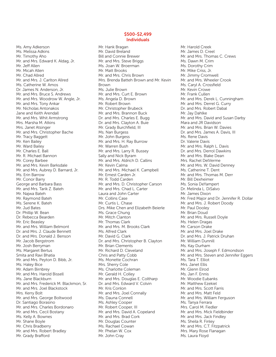Ms. Amy Adkerson Ms. Melissa Adkins Mr. Timothy Aho Mr. and Mrs. Edward K. Aldag, Jr. Mr. Jeff Allen Mr. Micah Allen Mr. Chad Allred Mr. and Mrs. J. Carlton Allred Ms. Catherine W. Amos Dr. James N. Anderson, Jr. Mr. and Mrs. Bruce S. Andrews Mr. and Mrs. Woodrow W. Angle, Jr. Mr. and Mrs. Tony Ankar Mr. Nicholas Antonakos Jane and Keith Arendall Mr. and Mrs. Whit Armstrong Mrs. Marsha M. Atkins Mrs. Janet Atsinger Mr. and Mrs. Christopher Bache Mr. Tracy Baggett Mr. Ken Bailey Mr. Ward Bailey Mr. Charles E. Ball Mr. R. Michael Bannon Mr. Corey Barbee Mr. and Mrs. Kevin Barksdale Mr. and Mrs. Aubrey D. Barnard, Jr. Ms. Erin Barrow Mr. Conor Barry George and Barbara Bass Mr. and Mrs. Tarik Z. Bateh Mr. Najwa Bateh Mr. Raymond Bateh Ms. Serene K. Bateh Mr. Jud Bates Dr. Phillip W. Bean Dr. Rebecca Bearden Mr. Eric Beasley Mr. and Mrs. William Belmont Dr. and Mrs. J. Claude Bennett Dr. and Mrs. Donald J. Benson Mr. Jacob Bergstrom Mr. Josh Berryman Ms. Margaret Bertus Smita and Ravi Bhatia Mr. and Mrs. Peyton D. Bibb, Jr. Ms. Haley Bice Mr. Adam Birnbrey Mr. and Mrs. Harold Bissell Ms. Jane Blackburn Mr. and Mrs. Frederick M. Blackmon, Sr. Mr. and Mrs. Joel Blackstock Mrs. Kerry Bolt Mr. and Mrs. George Boltwood Dr. Santiago Borasino Mr. and Mrs. Charles Bordonaro Mr. and Mrs. Cecil Bostany Ms. Kelly A. Bownes Mr. Shane Boyle Mr. Chris Bradberry Mr. and Mrs. Robert Bradley Mr. Grady Brafford

## \$500-\$2,499 Individuals

Mr. Hank Bragan Mr. David Breland Bill and Connie Brewer Mr. and Mrs. Steve Briggs Ms. Joan W. Broerman Mr. Matt Brooks Mr. and Mrs. Chris Brown Mrs. Brenda Batteh Brown and Mr. Kevin Brown Ms. Julie Brown Mr. and Mrs. Curt E. Brown Ms. Angela D. Brown Mr. Robert Brown Mr. Christopher Brubeck Mr. and Mrs. Brannon Buck Dr. and Mrs. Charles E. Bugg Dr. and Mrs. Clayton A. Buie Mr. Grady Burchfield, III Ms. Nan Burgess Mr. John Burgess Mr. and Mrs. H. Ray Burrow Mr. Warren Bush Mr. and Mrs. Larry R. Bussey Sally and Nick Byram Mr. and Mrs. Aldrich D. Callins Mr. Kevin Calma Mr. and Mrs. Michael K. Campbell Mr. Ernest Carden Jr. Mr. R. Todd Carden Mr. and Mrs. D. Christopher Carson Mr. and Mrs. Chad L. Carter Laura and John Carter Mr. Collins Case Mr. Curtis L. Chase Drs. Mike Chen and Elizabeth Beierle Ms. Grace Chung Mr. Mitch Clanton Mr. Thomas Clark Mr. and Mrs. M. Brooks Clark Ms. Alfred Clark Mr. David G. Clark Dr. and Mrs. Christopher B. Clayton Mr. Brian Clements Mr. Richard D. Cleveland Chris and Patty Cobb Ms. Monette Cochran Mrs. Sherry Cole Ms. Charlotte Coleman Mr. Gerald H. Colley Mr. and Mrs. Douglas E. Coltharp Dr. and Mrs. Edward V. Colvin Mr. Kris Conlon Mr. and Mrs. Joel Connally Ms. Dauna Connell Ms. Ashley Cooper Mr. Robert Cooper, III Mr. and Mrs. David A. Copeland Mr. and Mrs. Brad Cork Mr. Douglas Counter Ms. Rachael Cowan Mr. Phelan W. Cox Mr. John Cray

Mr. Harold Creek Mr. James D. Creel Mr. and Mrs. Thomas C. Crews Ms. Dawn M. Crim Ms. Dorothy Crim Mr. Mike Criss, Jr. Mr. Jimmy Cromwell Mr. and Mrs. Wheeler Crook Ms. Caryl A. Crossfield Mr. Kevin Crowe Mr. Frank Cullen Mr. and Mrs. Derek L. Cunningham Mr. and Mrs. Derrel G. Curry Dr. and Mrs. Robert Dabal Mr. Jay Dahlke Mr. and Mrs. David and Susan Darby Mara and JR Davidson Mr. and Mrs. Brian W. Davies Dr. and Mrs. James A. Davis, III Ms. Rene Davis Dr. Valerie Davis Mr. and Mrs. Ralph L. Davis Dr. and Mrs. Derrol Dawkins Mr. and Mrs. Blake Dean Mrs. Rachel DelVerme Mr. and Mrs. W. David Denney Ms. Catherine T. Dent Mr. and Mrs. Thomas M. Derr Mr. Bill Dexheimer Ms. Sonia DeYampert Dr. Melinda L. DiSalvo Mr. James Dixon Mr. Fred Major and Dr. Jennifer R. Dollar Mr. and Mrs. J. Robert Doody Mr. Paul Dooley Mr. Brian Doud Mr. and Mrs. Russell Doyle Ms. Helen Dragas Mr. Carson Drake Mr. and Mrs. Joel Drake Dr. and Mrs. J. Patrick Druhan Mr. William Dunnill Ms. Kay Durham Mr. and Mrs. Joseph F. Edmondson Mr. and Mrs. Steven and Jennifer Eggers Ms. Tara T. Elliot Mrs. Janet Ellis Mr. Glenn Elrod Ms. Jan F. Ennis Mr. Woodie Eubanks Mr. Matthew Ezekiel Mr. and Mrs. Scott Farris Mr. and Mrs. Matt Feld Mr. and Mrs. William Ferguson Ms. Tanya Ferrara Mrs. Carol M. Fiedler Mr. and Mrs. Mick Fieldbinder Mr. and Mrs. Jack Findley Ms. Sheila R. Finley Mr. and Mrs. C.T. Fitzpatrick Mrs. Mary Rose Flanagan Ms. Laura Floyd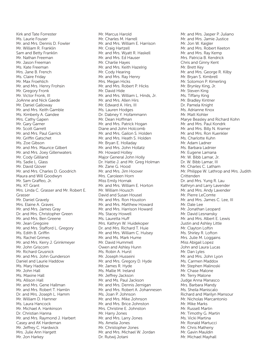Kirk and Tate Forrester Ms. Laurie Fouser Mr. and Mrs. Dennis D. Fowler Mr. William R. Franklin Sam and Betty Franklin Mr. Nathan Freeman Mr. Jason Freeman Ms. Kate Freeman Mrs. Jane B. French Ms. Claire Friday Mr. Max Froehlich Mr. and Mrs. Henry Frohsin Mr. Gregory Fronk Mr. Victor Fronk, III JoAnne and Nick Gaede Mr. Daniel Galloway Mr. and Mrs. Keith Gamble Ms. Kimberly A. Gandee Mrs. Cathy Gapen Mr. Gary Garner Mr. Scott Garrett Mr. and Mrs. Paul Garrick Mr. Griffin Gatschet Ms. Zoe Gibson Mr. and Mrs. Maurice Gilbert Mr. and Mrs. Joey Gillenwaters Mr. Cody Gilliland Ms. Sadie L. Glass Mr. David Glover Mr. and Mrs. Charles D. Goodrich Maura and Will Goodwyn Mr. Sam Graffeo, Jr. Ms. KT Grant Mrs. Linda C. Grasser and Mr. Robert E. Grasser Mr. Daniel Gravely Mrs. Elaine A. Graves Mr. and Mrs. James Gray Dr. and Mrs. Christopher Green Mr. and Mrs. Ben Greene Mr. Jean Gregoire Mr. and Mrs. Stafford L. Gregory Ms. Edith B. Griffin Ms. Rachel Grimes Mr. and Mrs. Kerry J. Grinkmeyer Mr. John Griscom Mr. Richard Grusnick Mr. and Mrs. John Gunderson Daniel and Laurie Haddow Ms. Mary Haddow Mr. John Hall Ms. Maxine Hall Ms. Allison Hall Mr. and Mrs. Gene Hallman Mr. and Mrs. Robert T. Hamlin Dr. and Mrs. Joseph L. Hamm Mr. William D. Hamner Ms. Laura Hancock Mr. Michael A. Hankinson Dr. Christian Hanna Mr. and Mrs. Raymond J. Harbert Casey and AK Hardeman Mr. Jeffrey C. Hardwick Mrs. Julie Ann Hargett Mr. Jon Harkey

Mr. Marcus Harold Mr. Charles M. Harrell Mr. and Mrs. William E. Harrison Mr. Craig Hartzell Mr. and Mrs. Wyatt R. Haskell Mr. and Mrs. Ed Hauser Mr. Charlie Hayes Mr. and Mrs. Keith Hazelrig Mr. Cody Hearing Mr. and Mrs. Ray Henry Mrs. Megan Hicks Mr. and Mrs. Robert P. Hicks Mr. David Hide Mr. and Mrs. William L. Hinds, Jr. Mr. and Mrs. Allen Hirs Mr. Edward A. Hirs, III Ms. Lauren Hodges Dr. Dabney Y. Hofammann Mr. Dean Hoffman Mr. and Mrs. Patrick Hogan Diane and John Holcomb Mr. and Mrs. Gailon S. Holden Mr. and Mrs. Heath S. Holden Mr. Bryan E. Holladay Mr. and Mrs. John Hollatz Mr. Howard Holley Major General John Holly Dr. Hattie J. and Mr. Greg Holman Mr. Zane G. Hood Mr. and Mrs. Jim Hoover Mrs. Caroleen Horn Miss Emily Hornak Mr. and Mrs. William E. Horton Mr. William Housch David and Susan Housel Mr. and Mrs. Ron Houston Mr. and Mrs. Matthew Howard Mr. and Mrs. Harrison Howard Ms. Stacey Howell Ms. Lauretta Huff Mrs. Kathryn W. Huidekoper Dr. and Mrs. Richard T. Huie Mr. and Mrs. William C. Hulsey Mr. and Ms. Mark Hume Mr. David Hummell Owen and Ashley Hunn Ms. Robin A. Hurst Mr. Joseph Husseini Mr. and Mrs. Gregory D. Hyde Mr. James R. Hyde Ms. Mallie M. Ireland Mr. Jeffrey Jackson Mr. and Ms. Paul Jackson Mr. and Mrs. Dennis Jernigan Mr. and Mrs. Robert A. Johannesen Ms. Joan P. Johnson Mr. and Mrs. Mike Johnson Mr. and Mrs. Brice Johnston Mrs. Christine E. Johnston Mr. Harry Jones Mr. and Mrs. Larry Jones Ms. Amelia Jones Mr. Christopher Jones Mr. and Mrs. Michael W. Jordan Dr. Rutwij Jotani

Mr. and Mrs. Jasper P. Juliano Mr. and Mrs. Jamie Justice Mr. Jon W. Kaigler Mr. and Mrs. Robert Keeton Mr. and Mrs. Ray Kemp Mrs. Patricia B. Kendrick Chris and Ginny Kent Mr. Brett Key Mr. and Mrs. George R. Kilby Mr. Bryan S. Kimbrell Mr. Solomon P. Kimerling Mr. Brynley King, Jr. Mr. Steven King Ms. Tiffany King Mr. Bradley Kintner Dr. Pamela Knight Ms. Adrianne Knox Mr. Matt Kohler Marye Beasley and Richard Kohn Mr. and Mrs. Paul Kondrk Mr. and Mrs. Billy N. Kramer Mr. and Mrs. Ron Kuenkler Ms. Charlotte Kuhn Mr. Adam Ladner Ms. Barbara Ladnier Mr. Eugene Lamana Mr. W. Bibb Lamar, Jr. Dr. W. Bibb Lamar, III Mr. Charles C. Latham Mr. Philippe W. Lathrop and Mrs. Judith Crittenden Dr. and Mrs. Yung R. Lau Kathryn and Larry Lavender Mr. and Mrs. Andy Lavender Mr. Pierre LeComte Mr. and Mrs. James C. Lee, III Mr. Dale Lee Mr. Jonathan Leopard Mr. David Lesnansky Mr. and Mrs. Albert E. Lewis Justin and Ashley Little Mr. Clayton Loftin Ms. Shirley R. Lofton Mrs. Julie M. Loggains Miss Abigail Lopez John and Laura Lucas Mr. Dan Lyles Mr. and Mrs. John Lyon Ms. Carmen Maddox Mr. Stephen Malinoski Mr. Chase Malone Mr. Terry Malone Judge Anna Manasco Mrs. Barbara Mandy Ms. Sheila Maniscalo Richard and Marilyn Mansour Mr. Nicholas Marcantonio Mr. Mike Marks Mr. Russell Martin Mr. Timothy G. Martin Ms. Vicki Martina Mr. Ronald Martucci Mr. Chris Matheny Mr. Gavin Mauldin Mr. Michael Mayhall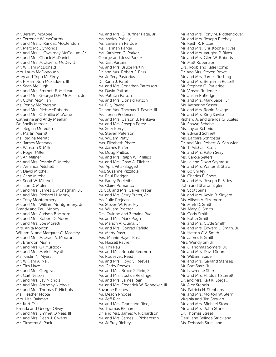Mr. Jeremy McAbee Mr. Terrence W. McCarthy Mr. and Mrs. J. Randall McClendon Mr. Marc McClymonds Mr. and Mrs. L. Gwaltney McCollum, Jr. Mr. and Mrs. Chuck McDaniel Mr. and Mrs. Michael E. McDevitt Mr. William McDonald Mrs. Laura McDonough Mary and Tripp McElroy Mr. F. Hampton McFadden, III Mr. Sean McHugh Mr. and Mrs. Emmett E. McLean Mr. and Mrs. George D.H. McMillan, Jr. Mr. Collin McMillan Ms. Penny McPherson Mr. and Mrs. Rich McRoberts Mr. and Mrs. C. Phillip McWane Catherine and Andy Meehan Dr. Shelly Mercer Ms. Regina Meredith Mr. Martin Merritt Ms. Regina Merritt Mr. James Mezrano Mr. Winston S. Miller Mr. Roger Miller Mr. Ari Millner Mr. and Mrs. Ronnie C. Mitchell Ms. Amanda Mitchell Mr. David Mitchell Ms. Jane Mitchell Mr. Scott W. Mitchell Ms. Lori D. Moler Mr. and Mrs. James J. Monaghan, Jr. Mr. and Mrs. Richard H. Monk, III Mr. Tony Montgomery Mr. and Mrs. William Montgomery, Jr. Brandy and Paul Moody Mr. and Mrs. Judson B. Moore Mr. and Mrs. Robert D. Moore, III Mr. and Mrs. Joe Moretti Mrs. Anita Morton William A. and Margaret C. Moseley Mr. and Mrs. Michael A. Mouron Mr. Brandon Munn Mr. and Mrs. Gil Murdock, III Mr. and Mrs. Mark L. Myatt Ms. Kristin N. Myers Mr. William A. Nail Mr. Tim Nave Mr. and Mrs. Greg Neal Mr. Carl Nelson Mr. and Mrs. Jay Nichols Mr. and Mrs. Anthony Nichols Mr. and Mrs. Thomas P. Nichols Ms. Heather Noble Mrs. Lisa Oakman Mr. Kurt Olis Brenda and George Olvey Mr. and Mrs. Emmet O'Neal, III Mr. and Mrs. Dean J. Owens Mr. Timothy A. Pack

Mr. and Mrs. G. Ruffner Page, Jr. Ms. Ashley Paisley Ms. Savannah Pardue Ms. Hannah Parker Ms. Kathleen C. Parker George and Jessi Parker Ms. Gail Partain Mr. and Mrs. Bruce Partin Dr. and Mrs. Robert F. Pass Mr. Jeffery Pastorius Dr. Kanu J. Patel Mr. and Mrs. Jonathan Patterson Mr. David Patton Ms. Patricia Patton Mr. and Mrs. Donald Patton Mr. Billy Payne Dr. and Mrs. Thomas J. Payne, III Ms. Jenna Pedersen Mr. and Mrs. Carson B. Penkava Mr. and Mrs. Joseph Perez Mr. Seth Perry Mr. Steven Peterson Mr. William Petty Mrs. Elizabeth Pharo Mr. James Phifer Mr. Doug Phillips Mr. and Mrs. Ralph W. Phillips Mr. and Mrs. Chad A. Pilcher Ms. April Pitts-Baggett Mrs. Suzanne Pizzitola Mr. Paul Pledger Mr. Farley Poellnitz Mr. Claire Pomarico Lt. Col. and Mrs. Garvis Prater Mr. and Mrs. Jerry Prater, Jr. Ms. Julie Prejean Mr. Steven W. Pressley Mr. William Proctor Drs. Quirino and Zenaida Pua Mr. and Mrs. Mark Pugh Mr. Marion A. Quina, Jr. Mr. and Mrs. Conrad Rafield Mr. Marty Rash Mrs. Minnie Hayes Rast Mr. Hassell Rather Mr. Tim Rau Mr. and Mrs. Ronald Redmon Mr. Roosevelt Reed Mr. and Mrs. Floyd S. Reeves Ms. Cathy Reeves Mr. and Mrs. Bruce S. Reid, Sr. Mr. and Mrs. Joshua Reidinger Mr. and Mrs. James Rein Mr. and Mrs. Frederick W. Renneker, III Suzanne Respess Mr. Deach Rhodes Mr. Jeff Rice Mr. and Mrs. Grantland Rice, III. Mr. Thomas Richards Dr. and Mrs. James V. Richardson Mr. and Mrs. James L. Richardson Mr. Jeffrey Richey

Mr. and Mrs. Tony M. Riddlehoover Mr. and Mrs. Joseph Ritchey Mr. Keith R. Ritzler Mr. and Mrs. Christopher Rives Mr. and Mrs. Vaughn P. Rives Mr. and Mrs. Glen W. Roberts Mr. Matt Robertson Drs. Robb and Katie Romp Dr. and Mrs. Steven Rowe Mr. and Mrs. James Rushing Mr. and Mrs. Benjamin Russell Mr. Stephen G. Rutledge Mr. Vinson Rutledge Mr. Justin Rutledge Mr. and Mrs. Mark Sabel, Jr. Ms. Katherine Sasser Mr. and Mrs. Robin Savage Mr. and Mrs. King Saville Richard A. and Brenda G. Scales Mr. Shawn Schabel Ms. Taylor Schmidt Mr. Edward Schnell Ms. Barbara Schroeter Dr. and Mrs. Robert W. Schuyler Mr. T. Michael Scott Mr. and Mrs. Ralph Seay Ms. Carole Sellers Mollie and Dixon Seymour Mr. and Mrs. Walter B. Shaw Mr. Bo Shirley Mr. Charles E. Short Mr. and Mrs. Joseph R. Sides John and Sharon Sigler Mr. Scott Sims Mr. and Mrs. Kevin R. Sinyard Ms. Allison A. Sizemore Mr. Mark D. Smith Ms. Mary C. Smith Mr. Cody Smith Mr. Butch Smith Mr. and Mrs. Clyde Smith Mr. and Mrs. Edward L. Smith, Jr. Mr. Hatton C.V. Smith Mr. James P. Smith Mrs. Wendy Smith Mr. J. Thomas Somers, Jr. Mr. and Mrs. David Sours Mr. William Stader Mr. and Mrs. Garland Stansell Mr. Bart Starr, Jr. Mr. Lawrence Starr Mr. and Mrs. H. Stuart Starrett Dr. and Mrs. Karl K. Stegall Mr. Alex Stennis Ms. Patricia H. Stephens Mr. and Mrs. Morton W. Stern Virginia and Jim Stewart Mr. and Mrs. Michael Stone Mr. and Mrs. John Stone Dr. Thomas Street Derril and Belinda Strickland Ms. Deborah Strickland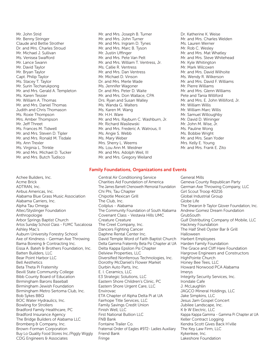Mr. John Strid Mr. Benny Stringer Claude and Bettie Strother Dr. and Mrs. Charles Stroud Mr. Michael J. Sullivan Ms. Venisea Swafford Mr. Lance Swann Mr. David Taylor Mr. Bryan Taylor Capt. Philip Taylor Ms. Stacey T. Taylor Mr. Surin Techarukpong Mr. and Mrs. Gerald A. Templeton Ms. Karen Tessier Mr. William A. Thomas Mr. and Mrs. Daniel Thomas Judith and Chris Thomason Ms. Roxie Thompson Mrs. Amber Thompson Mr. Jeff Threet Ms. Frances M. Tidwell Mr. and Mrs. Steven D. Tipler Mr. and Mrs. Ronald M. Tisdale Ms. Ann Trexler Ms. Virginia L. Trinkle Mr. and Mrs. Michael D. Tucker Mr. and Mrs. Butch Tudisco

Achee Builders, Inc. Acme Brick ADTRAN, Inc. Airbus Americas, Inc. Alabama Blue Grass Music Association Alabama Carriers, Inc. Alpha Tau Omega Altec/Styslinger Foundation Anthropologie Arbor Springs Baptist Church Artos Sunday School Class - FUMC Tuscaloosa Ashley Mac's Auburn University Forestry School Axe of Kindness - German Axe Throwing Bama Boreing & Contracting Inc. Eissa A. Bateh & Brothers Foundation, Inc. Batten Builders, LLC Bear Point Harbor LLC Bell Aesthetics Beta Theta Pi Fraternity Bevill State Community College Bibb County Board of Education Birmingham Barons Baseball Birmingham Jewish Foundation Birmingham Metro Sertoma Club, Inc. Bob Sykes BBQ BOC Water Hydraulics, Inc. Bowling for Strollers Bradford Family Healthcare, PC Bradford Insurance Agency The Bridge Builders of Alabama LLC Bromberg & Company, Inc. Brown-Forman Corporation Buy Lo Quality Food Stores Inc./Piggly Wiggly CDG Engineers & Associates

- Mr. and Mrs. Joseph B. Turner Mr. and Mrs. John Turner Mr. and Mrs. Ingram D. Tynes Mr. and Mrs. Marc B. Tyson Mr. Justin Uffinger Mr. and Mrs. Pete Van Pelt Mr. and Mrs. William T. Ventress, Jr. Ms. Callie R. Ventress Mr. and Mrs. Dan Ventress Mr. Michael D. Vinson Dr. and Mrs. Merle Wade Ms. Jennifer Wagoner Dr. and Mrs. Peter D. Waite Mr. and Mrs. Don Wallace, CPA Drs. Ryan and Susan Walley Ms. Wanda G. Walters Ms. Karen M. Wang Mr. H.H. Ware Mr. and Mrs. Rayburn C. Washburn, Jr. Mr. Richard Wasilewski Mr. and Mrs. Frederic A. Watrous, II Ms. Angie S. Webb Ms. Mary Weber Mrs. Sherry L. Weems Ms. Lou Ann M. Weidner Mr. and Mrs. Adolph Weil, III Mr. and Mrs. Gregory Weiland
- Dr. Katherine K. Weise Mr. and Mrs. Charles Welden Ms. Lauren Werner Mr. Rob C. Wesley Mr. and Mrs. Mat Whatley Mr. and Mrs. Steve Whitehead Mr. Kyle Whitington Mr. Mark Wilcoxen Mr. and Mrs. David Wilhoite Ms. Wendy R. Wilkerson Mr. and Mrs. David F. Williams Mr. Pierre Williams Mr. and Mrs. Glenn Williams Pete and Tania Williford Mr. and Mrs. E. John Williford, Jr. Mr. William Willis Mr. William Marc Willis Mr. Samuel Willoughby Mr. David D. Wininger Mr. John M. Wise, Jr. Ms. Pauline Wong Ms. Bobbie Wright Mr. and Mrs. Sean Yoder Mrs. Kelly E. Young Mr. and Mrs. Frank E. Zito

#### Family Foundations, Organizations and Events

Central Air Conditioning Service Charities Aid Foundation of America The James Barnett Chenoweth Memorial Foundation Chi Phi, Tau Chapter Chipotle Mexican Grill The Club, Inc. Coilplus - Alabama The Community Foundation of South Alabama Covenant Class - Vestavia Hills UMC Creature Creature The Creel Company, Inc. Dancers Fighting Cancer Daphne Rental Center Inc. David Temple Word of Faith Baptist Church Delta Gamma Fraternity Beta Psi Chapter at UA Delta Kappa Epsilon Psi Chapter Delview Properties, LLC Diversified Nonferrous Technologies, Inc. Dorothy McDaniel's Flower Market Durbin Auto Parts, Inc. E. I. Ceramics, LLC E3 Strategic Solutions, LLC Eastern Shore Children's Clinic, PC Eastern Shore Urgent Care, LLC Envirovac ETA Chapter of Alpha Delta Pi at UA Fairhope Title Services, LLC Family Savings Credit Union Finish Well, LLC First National Bullion LLC FNB Bank Fontaine Trailer Co. Fraternal Order of Eagles #972- Ladies Auxiliary Friend Bank Fringe

General Mills Geneva County Republican Party German Axe Throwing Company, LLC Girl Scout Troop 40216 Global Industrial Group Globe Life The Shearon & Taylor Glover Foundation, Inc. Andrew Gomez Dream Foundation GrubSouth Gulf Distributing Company of Mobile, LLC Hackney Foundation The Half Shell Oyster Bar & Grill Halloween Harbert Employees Harden Family Foundation The Grace and Cliff Hare Foundation Hargrove Engineers and Constructors HighPointe Church Honey Bee Tees, LLC Howard Norwood PCA Alabama Imerys Integrity Security Services, Inc. Irondale Cafe J. McLaughlin JAGCO Mineral Holdings, LLC Jake Simpkins, LLC Jesus Jam Gospel Concert Jubilee Landscape, Inc. K & W Electric, LLC Kappa Kappa Gamma - Gamma Pi Chapter at UA Keller Contract Logging Kendra Scott Gives Back H'ville The Key Law Firm, LLC Kykenkee, Inc. Lakeshore Foundation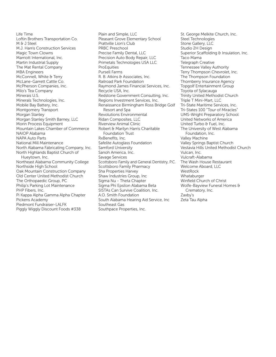Life Time Loftin Brothers Transportation Co. M & J Steel M.J. Harris Construction Services Magic Town Clowns Marriott International, Inc. Martin Industrial Supply The Mat Rental Company MBA Engineers McConnell, White & Terry McLane-Garrett Cattle Co. McPherson Companies, Inc. Milo's Tea Company Minerais U.S. Minerals Technologies, Inc. Mobile Bay Battery, Inc. Montgomery Transport Morgan Stanley Morgan Stanley Smith Barney, LLC Morin Process Equipment Mountain Lakes Chamber of Commerce NAIOP Alabama NAPA Auto Parts National Mill Maintenance North Alabama Fabricating Company, Inc. North Highlands Baptist Church of Hueytown, Inc. Northeast Alabama Community College Northside High School Oak Mountain Construction Company Old Center United Methodist Church The Orthopaedic Group, PC Philip's Parking Lot Maintenance PHP Fibers, Inc. Pi Kappa Alpha Gamma Alpha Chapter Pickens Academy Piedmont Fundraiser-LALFK Piggly Wiggly Discount Foods #338

Plain and Simple, LLC Pleasant Grove Elementary School Prattville Lion's Club PRBC Preschool Precise Family Dental, LLC Precision Auto Body Repair, LLC Primetals Technologies USA LLC **ProEquities** Pursell Farms R. B. Atkins & Associates, Inc. Railroad Park Foundation Raymond James Financial Services, Inc. Recycle USA, Inc. Redstone Government Consulting, Inc. Regions Investment Services, Inc. Renaissance Birmingham Ross Bridge Golf Resort and Spa Revolutions Environmental Ridan Composites, LLC Riverview Animal Clinic Robert & Marilyn Harris Charitable Foundation Trust RxBenefits, Inc. Safelite Autoglass Foundation Samford University Sanoh America, Inc. Savage Services Scottsboro Family and General Dentistry, P.C. Scottsboro Family Pharmacy Sha Properties Harvey Shaw Industries Group, Inc Sigma Nu - Theta Chapter Sigma Phi Epsilon Alabama Beta SISTAs Can Survive Coalition, Inc. A.O. Smith Foundation South Alabama Hearing Aid Service, Inc Southeast Gas Southpace Properties, Inc.

St. George Melkite Church, Inc. Steel Technologies Stone Gallery, LLC Studio 2H Design Superior Scaffolding & Insulation, Inc. Taco Mama Telegraph Creative Tennessee Valley Authority Terry Thompson Chevrolet, Inc. The Thompson Foundation Thornberry Insurance Agency Topgolf Entertainment Group Toyota of Sylacauga Trinity United Methodist Church Triple T Mini-Mart, LLC Tri-State Maritime Services, Inc. Tri-States 100 "Tour of Miracles" UMS-Wright Preparatory School United Networks of America United Turbo & Fuel, Inc. The University of West Alabama Foundation, Inc. Valley Machine Valley Springs Baptist Church Vestavia Hills United Methodist Church Vulcan, Inc. Vulcraft-Alabama The Wash House Restaurant Welcome Aboard, LLC **WestRock** Whataburger Winfield Church of Christ Wolfe-Bayview Funeral Homes & Crematory, Inc. Zaxby's Zeta Tau Alpha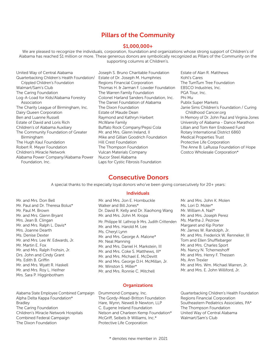# Pillars of the Community

## \$1,000,000+

We are pleased to recognize the individuals, corporation, foundation and organizations whose strong support of Children's of Alabama has reached \$1 million or more. These generous donors are symbolically recognized as Pillars of the Community on the supporting columns at Children's.

United Way of Central Alabama Quarterbacking Children's Health Foundation/ Crippled Children's Foundation Walmart/Sam's Club The Caring Foundation Log-A-Load for Kids/Alabama Forestry Association The Charity League of Birmingham, Inc. Dairy Queen Corporation Ben and Luanne Russell Estate of David and Loris Rich Children's of Alabama Auxiliary The Community Foundation of Greater Birmingham The Hugh Kaul Foundation Robert R. Meyer Foundation Children's Miracle Network Alabama Power Company/Alabama Power Foundation, Inc.

Mr. and Mrs. Don Bell

Mr. Paul M. Brown Mr. and Mrs. Glenn Bryant Mrs. Jean B. Clingan Mr. and Mrs. Ralph L. Davis\* Mrs. Joanne Dearth Ms. Denise Dexter

Mr. Martin E. Fox

Ms. Edith B. Griffin

Mr. Paul and Dr. Theresa Bolus\*

Mr. and Mrs. Lee W. Edwards, Jr.

Mr. and Mrs. Ralph Frohsin, Jr. Drs. John and Cindy Grant

Mr. and Mrs. Wyatt R. Haskell Mr. and Mrs. Roy L. Heifner Mrs. Sara P. Higginbotham

Joseph S. Bruno Charitable Foundation Estate of Dr. Joseph M. Humphries Regions Financial Corporation Thomas H. & Jarman F. Lowder Foundation The Warren Family Foundation Colonel Harland Sanders Foundation, Inc. The Daniel Foundation of Alabama The Dixon Foundation Estate of Maude Dean Raymond and Kathryn Harbert McWane Family Buffalo Rock Company/Pepsi Cola Mr. and Mrs. Glenn Ireland, II Mike and Gillian Goodrich Foundation Hill Crest Foundation The Thompson Foundation Vulcan Materials Company Nucor Steel Alabama Laps for Cystic Fibrosis Foundation

Estate of Alan R. Matthews Kohl's Cares The TumTum Tree Foundation EBSCO Industries, Inc. PGA Tour, Inc. Phi Mu Publix Super Markets Janie Sims Children's Foundation / Curing Childhood Cancer.org In Memory of Dr. John Paul and Virginia Jones University of Alabama - Dance Marathon Lillian and Tom Kerr Endowed Fund Rotary International District 6860 Medical Properties Trust Protective Life Corporation The Anne B. LaRussa Foundation of Hope Costco Wholesale Corporation\*

## Consecutive Donors

A special thanks to the especially loyal donors who've been giving consecutively for 20+ years:

## Individuals

- Mr. and Mrs. Jon E. Hornbuckle Walker and Bill Jones\* Dr. David R. Kelly and Dr. Xiaohong Wang Mr. and Mrs. John M. Kropa Mr. Philippe W. Lathrop & Mrs. Judith Crittenden Mr. and Mrs. Harold M. Lee Ms. Cheryl Lynn Mr. and Mrs. George A. Malone\* Mr. Neal Manning Mr. and Mrs. Daniel H. Markstein, III Mr. and Mrs. Coke S. Matthews, III\* Mr. and Mrs. Michael E. McDevitt Mr. and Mrs. George D.H. McMillan, Jr. Mr. Winston S. Miller\* Mr. and Mrs. Ronnie C. Mitchell
- Mr. and Mrs. John K. Molen Ms. Lori D. Moler\* Mr. William A. Nail\* Mr. and Mrs. Joseph Perez Ms. Martha J. Pezrow Margaret and Kip Porter Mr. James W. Randolph, Jr. Mr. and Mrs. Frederick W. Renneker, III Tom and Ellen Shufflebarger Mr. and Mrs. Charles Sport Ms. Nancy N. Tcherneshoff Mr. and Mrs. Henry F. Thessen Ms. Ann Trexler Mr. and Mrs. Wm. Michael Warren, Jr. Mr. and Mrs. E. John Williford, Jr.

## Alabama State Employee Combined Campaign Alpha Delta Kappa Foundation\* Bradley The Caring Foundation Children's Miracle Network Hospitals Combined Federal Campaign The Dixon Foundation

## **Organizations**

Drummond Company, Inc. The Gordy-Mead-Britton Foundation Hare, Wynn, Newell & Newton, LLP C. Eugene Ireland Foundation Nelson and Charleen Kemp Foundation\* McGriff, Seibels & Williams, Inc.\* Protective Life Corporation

Quarterbacking Children's Health Foundation Regions Financial Corporation Southeastern Pediatrics Associates, PA\* The Thompson Foundation United Way of Central Alabama Walmart/Sam's Club